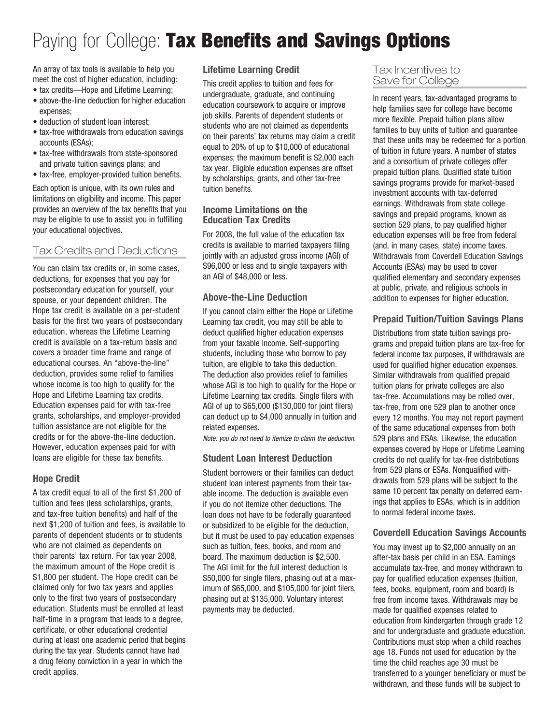# Paying for College: Tax Benefits and Savings Options

An array of tax tools is available to help you meet the cost of higher education, including:

- tax credits—Hope and Lifetime Learning;
- above-the-line deduction for higher education expenses;
- deduction of student loan interest;
- tax-free withdrawals from education savings accounts (ESAs);
- tax-free withdrawals from state-sponsored and private tuition savings plans; and
- tax-free, employer-provided tuition benefits.

Each option is unique, with its own rules and limitations on eligibility and income. This paper provides an overview of the tax benefits that you may be eligible to use to assist you in fulfilling your educational objectives.

# Tax Credits and Deductions

You can claim tax credits or, in some cases, deductions, for expenses that you pay for postsecondary education for yourself, your spouse, or your dependent children. The Hope tax credit is available on a per-student basis for the first two years of postsecondary education, whereas the Lifetime Learning credit is available on a tax-return basis and covers a broader time frame and range of educational courses. An "above-the-line" deduction, provides some relief to families whose income is too high to qualify for the Hope and Lifetime Learning tax credits. Education expenses paid for with tax-free grants, scholarships, and employer-provided tuition assistance are not eligible for the credits or for the above-the-line deduction. However, education expenses paid for with loans are eligible for these tax benefits.

## Hope Credit

A tax credit equal to all of the first \$1,200 of tuition and fees (less scholarships, grants, and tax-free tuition benefits) and half of the next \$1,200 of tuition and fees, is available to parents of dependent students or to students who are not claimed as dependents on their parents' tax return. For tax year 2008, the maximum amount of the Hope credit is \$1,800 per student. The Hope credit can be claimed only for two tax years and applies only to the first two years of postsecondary education. Students must be enrolled at least half-time in a program that leads to a degree, certificate, or other educational credential during at least one academic period that begins during the tax year. Students cannot have had a drug felony conviction in a year in which the credit applies.

#### Lifetime Learning Credit

This credit applies to tuition and fees for undergraduate, graduate, and continuing education coursework to acquire or improve job skills. Parents of dependent students or students who are not claimed as dependents on their parents' tax returns may claim a credit equal to 20% of up to \$10,000 of educational expenses; the maximum benefit is \$2,000 each tax year. Eligible education expenses are offset by scholarships, grants, and other tax-free tuition benefits.

#### Income Limitations on the Education Tax Credits

For 2008, the full value of the education tax credits is available to married taxpayers filing jointly with an adjusted gross income (AGI) of \$96,000 or less and to single taxpayers with an AGI of \$48,000 or less.

#### Above-the-Line Deduction

If you cannot claim either the Hope or Lifetime Learning tax credit, you may still be able to deduct qualified higher education expenses from your taxable income. Self-supporting students, including those who borrow to pay tuition, are eligible to take this deduction. The deduction also provides relief to families whose AGI is too high to qualify for the Hope or Lifetime Learning tax credits. Single filers with AGI of up to \$65,000 (\$130,000 for joint filers) can deduct up to \$4,000 annually in tuition and related expenses.

*Note: you do not need to itemize to claim the deduction.*

## Student Loan Interest Deduction

Student borrowers or their families can deduct student loan interest payments from their taxable income. The deduction is available even if you do not itemize other deductions. The loan does not have to be federally guaranteed or subsidized to be eligible for the deduction, but it must be used to pay education expenses such as tuition, fees, books, and room and board. The maximum deduction is \$2,500. The AGI limit for the full interest deduction is \$50,000 for single filers, phasing out at a maximum of \$65,000, and \$105,000 for joint filers, phasing out at \$135,000. Voluntary interest payments may be deducted.

#### Tax Incentives to Save for College

In recent years, tax-advantaged programs to help families save for college have become more flexible. Prepaid tuition plans allow families to buy units of tuition and guarantee that these units may be redeemed for a portion of tuition in future years. A number of states and a consortium of private colleges offer prepaid tuition plans. Qualified state tuition savings programs provide for market-based investment accounts with tax-deferred earnings. Withdrawals from state college savings and prepaid programs, known as section 529 plans, to pay qualified higher education expenses will be free from federal (and, in many cases, state) income taxes. Withdrawals from Coverdell Education Savings Accounts (ESAs) may be used to cover qualified elementary and secondary expenses at public, private, and religious schools in addition to expenses for higher education.

# Prepaid Tuition/Tuition Savings Plans

Distributions from state tuition savings programs and prepaid tuition plans are tax-free for federal income tax purposes, if withdrawals are used for qualified higher education expenses. Similar withdrawals from qualified prepaid tuition plans for private colleges are also tax-free. Accumulations may be rolled over, tax-free, from one 529 plan to another once every 12 months. You may not report payment of the same educational expenses from both 529 plans and ESAs. Likewise, the education expenses covered by Hope or Lifetime Learning credits do not qualify for tax-free distributions from 529 plans or ESAs. Nonqualified withdrawals from 529 plans will be subject to the same 10 percent tax penalty on deferred earnings that applies to ESAs, which is in addition to normal federal income taxes.

#### Coverdell Education Savings Accounts

You may invest up to \$2,000 annually on an after-tax basis per child in an ESA. Earnings accumulate tax-free, and money withdrawn to pay for qualified education expenses (tuition, fees, books, equipment, room and board) is free from income taxes. Withdrawals may be made for qualified expenses related to education from kindergarten through grade 12 and for undergraduate and graduate education. Contributions must stop when a child reaches age 18. Funds not used for education by the time the child reaches age 30 must be transferred to a younger beneficiary or must be withdrawn, and these funds will be subject to